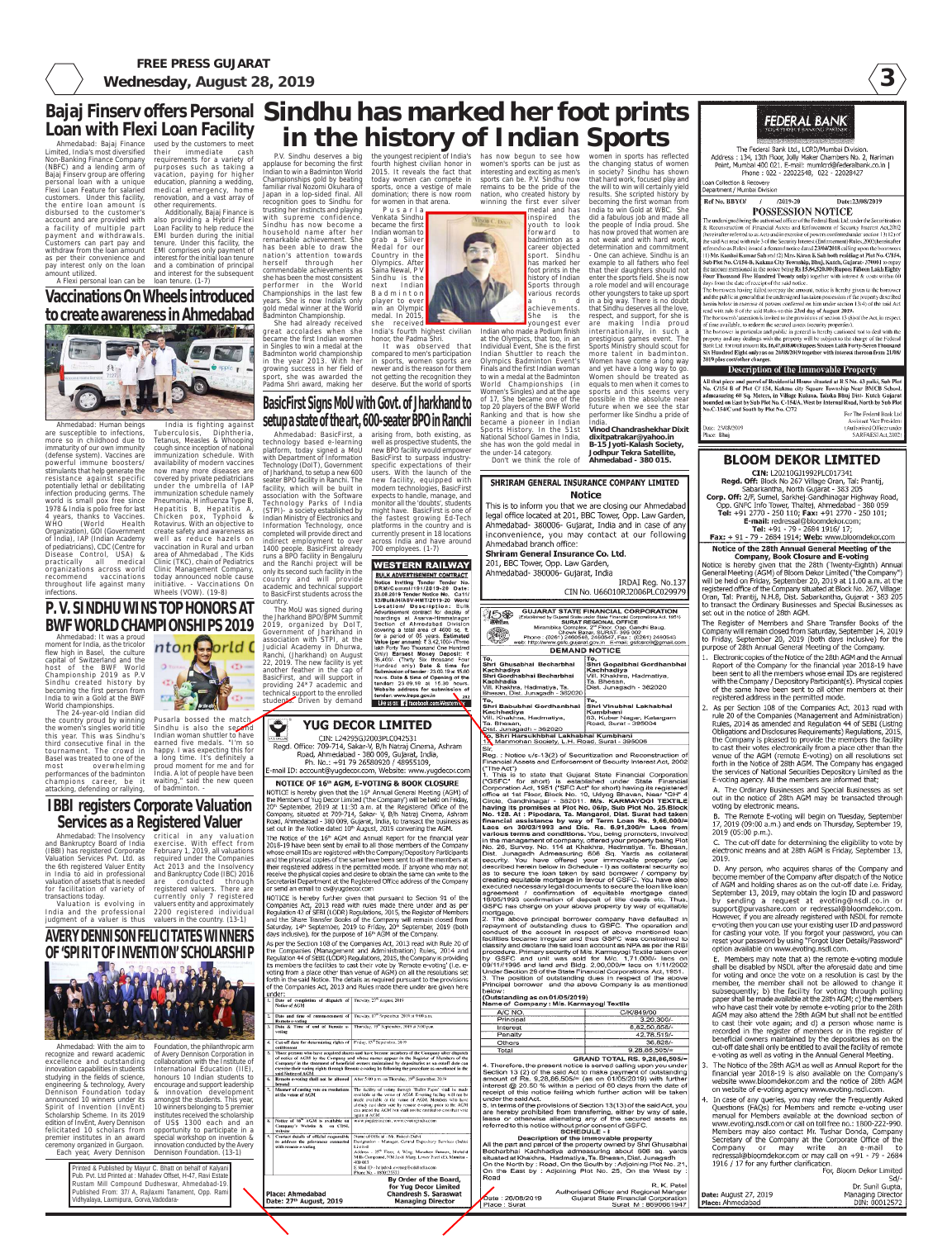**3**

# **BLOOM DEKOR LIMITED**

CIN: L20210GJ1992PLC017341 Regd. Off: Block No 267 Village Oran, Tal: Prantij, Sabarkantha, North Gujarat - 383 205 Corp. Off: 2/F, Sumel, Sarkhej-Gandhinagar Highway Road, Opp. GNFC Info Tower, Thaltej, Ahmedabad - 380 059 Tel: +91 2770 - 250 110; Fax: +91 2770 - 250 101; E-mail: redressal@bloomdekor.com; Tel: +91 - 79 - 2684 1916/ 17; Fax: + 91 - 79 - 2684 1914; Web: www.bloomdekor.com

#### Notice of the 28th Annual General Meeting of the **Company, Book Closure and E-voting**

Notice is hereby given that the 28th (Twenty-Eighth) Annual General Meeting (AGM) of Bloom Dekor Limited ("the Company") will be held on Friday, September 20, 2019 at 11.00 a.m. at the registered office of the Company situated at Block No. 267, Village: Oran, Tal: Prantij, N.H.8, Dist. Sabarkantha, Gujarat - 383 205 to transact the Ordinary Businesses and Special Businesses as set out in the notice of 28th AGM.

The Register of Members and Share Transfer Books of the Company will remain closed from Saturday, September 14, 2019 to Friday, September 20, 2019 (both days inclusive) for the purpose of 28th Annual General Meeting of the Company.

Electronic copies of the Notice of the 28th AGM and the Annual Report of the Company for the financial year 2018-19 have been sent to all the members whose email IDs are registered with the Company / Depository Participant(s). Physical copies of the same have been sent to all other members at their registered address in the permitted mode.

2. As per Section 108 of the Companies Act, 2013 read with rule 20 of the Companies (Management and Administration)



# $\bullet$ *orld*  $\epsilon$  $CT$

**FREE PRESS GUJARAT Wednesday, August 28, 2019**

Ahmedabad: It was a proud moment for India, as the tricolor flew high in Basel, the culture capital of Switzerland and the host of the BWF World Championship 2019 as P.V Sindhu created history by becoming the first person from India to win a Gold at the BWF World championships.

The 24-year-old Indian did

the country proud by winning the women's singles world title Sindhu is also the second this year. This was Sindhu's Indian woman shuttler to have third consecutive final in the tournament. The crowd in happy. I was expecting this for Basel was treated to one of the a long time. It's definitely a most overwhelming performances of the badminton champions career, be it attacking, defending or rallying,

Pusarla bossed the matc earned five medals. "I'm so proud moment for me and for India. A lot of people have been waiting," said the new queen of badminton.

Sindhu has now become a household name after her remarkable achievement. She has been able to draw the nation's attention towards herself through her

commendable achievements as she has been the most consistent performer in the World

> Championships in the last few years. She is now India's only gold medal winner at the World Badminton Championship.

She had already received great accolades when she became the first Indian women in Singles to win a medal at the Badminton world championship in the year 2013. With her growing success in her field of

P.V. Sindhu deserves a big applause for becoming the first the youngest recipient of India's fourth highest civilian honor in 2015. It reveals the fact that has now begun to see how women's sports can be just as

sport, she was awarded the not getting the recognition they

for women in that arena. Pusarla Venkata Sindhu became the first Indian woman to grab a Silver Medal for our Country in the Olympics. After Saina Newal, P V Sindhu is the next Indian Badminton player to ever win an Olympic medal. In 2015, she received

# Padma Shri award, making her deserve. But the world of sports

India's fourth highest civilian

honor, the Padma Shri.

today women can compete in sports, once a vestige of male domination; there is now room interesting and exciting as men's sports can be. P.V. Sindhu now remains to be the pride of the nation, who created history by winning the first ever silver medal and has

It was observed that compared to men's participation in sports, women sports are newer and is the reason for them

Limited, India's most diversified their Non-Banking Finance Company (NBFC) and a lending arm of Bajaj Finserv group are offering personal loan with a unique Flexi Loan Feature for salaried customers. Under this facility, the entire loan amount is disbursed to the customer's account and are provided with a facility of multiple part payment and withdrawals. Customers can part pay and withdraw from the loan amount as per their convenience and pay interest only on the loan amount utilized.

inspired the youth to look<br>forward to  $forward$ badminton as a career objected sport. Sindhu has marked her foot prints in the history of Indian Sports through various records and achievements. She is the

#### **Sindhu has marked her foot prints Dan With FIEXI LOAN FACIlity the customers to meet trace of the customers to meet trace of the customers to meet trace of the customers to meet trace of the customers to meet trace of the customers to meet trace and \mathbf{s Bajaj Finserv offers Personal Loan with Flexi Loan Facility** used by the customers to meet

youngest ever Indian who made a Podium finish at the Olympics, that too, in an Individual Event, She is the first Indian Shuttler to reach the Olympics Badminton Event's Finals and the first Indian woman to win a medal at the Badminton World Championships (in Women's Singles) and at the age of 17, She became one of the top 20 players of the BWF World Ranking and that is how she became a pioneer in Indian Sports History. In the 51st National School Games in India,

Indian to win a Badminton World Championships gold by beating familiar rival Nozomi Okuhara of Japan in a lop-sided final. All recognition goes to Sindhu for trusting her instincts and playing with supreme confidence.  $'$  immediate cash requirements for a variety of purposes such as taking a vacation, paying for higher education, planning a wedding, medical emergency, home renovation, and a vast array of other requirements.

> platform, today signed a MoU with Department of Information Technology (DoIT), Government of Jharkhand, to setup a new 600 seater BPO facility in Ranchi. The facility, which will be built in association with the Software Technology Parks of India (STPI)- a society established by might have. BasicFirst is one of Indian Ministry of Electronics and the fastest growing Ed-Tech Information Technology, once platforms in the country and is completed will provide direct and currently present in 18 locations across India and have around indirect employment to over 700 employees. (1-7) 1400 people. BasicFirst already runs a BPO facility in Bengaluru **NESTERN RAILWAY** and the Ranchi project will be only its second such facility in the country and will provide

> **BULK ADVERTISEMENT CONTRACT** Notice Inviting Tender Tender No<br>DRM/Commi/191/2019-20 Date academic and technical support 23.08.2019 Tender Notice No. Ca11/<br>13/Bulk/H/ASV-HMT/2019-20 Work/ to BasicFirst students across the Location/ Description: Bulk<br>Advertisement contract for display of The MoU was signed during hoardings at Asarva-Himmatnagar<br>Section of Ahmedabad Division 2019, organized by DoIT, covering a total area of 4600 sq. ft.<br>for a period of 05 years. Estimated Government of Jharkhand in association with STPI, at the for a period of 05 years, assumated<br>Value (per annum): ₹ 3.42,100/- (Three<br>lakt Forty Two Thousand One Hundred<br>Only) Earnest Money Deposit: ₹<br>36,400/- (Thirty Six thousand Four<br>Hundred only) Date & time for Submission of Judicial Academy in Dhurwa, Ranchi, (Jharkhand) on August hours. Date & time of Opening of the<br>tender: 23.09.19 at 15.30 hours. BasicFirst, and will support in providing 24\*7 academic and Website address for submission of technical support to the enrolled tender: www.ireps.gov.in  $-202$ students. Driven by demand Like us on: 1 facebook.com/WesternN'v



women in sports has reflected the changing status of women in society? Sindhu has shown that hard work, focused play and the will to win will certainly yield results. She scripted history by becoming the first woman from India to win Gold at WBC. She did a fabulous job and made all the people of India proud. She has now proved that women are not weak and with hard work, determination and commitment - One can achieve. Sindhu is an example to all fathers who feel that their daughters should not enter the sports field. She is now a role model and will encourage other youngsters to take up sport in a big way. There is no doubt that Sindhu deserves all the love, respect, and support, for she is are making India proud internationally, in such a prestigious games event. The Sports Ministry should scout for more talent in badminton. Women have come a long way and yet have a long way to go. Women should be treated as equals to men when it comes to sports and this seems very possible in the absolute near future when we see the star performer like Sindhu a pride of

Ref No. BBYO/  $/2019 - 20$ Date:23/08/2019  $\left|I\right|$ **POSSESSION NOTICE** 

.<br>The undersigned being the authorised officer of the Federal Bank Ltd. under the Securitisation & Reconstruction of Financial Assets and Enforcement of Security Interest Act,2002 hereinafter referred to as Act) and in exercise of powers conferred under section  $13(12)$  of he said Act read with rule 3 of the Security Interest (Enforcement) Rules, 2002 (hereinafter eferred to as Rules) issued a demand notice dated 23/04/2018 calling upon the borrowers 1) Mr. Kanhai Kumar Sah and (2) Mrs. Kiran K Sah both residing at Plot No. C/154, Sub Plot No. C/154-B. Kukma City Township, Bhui, Kutch, Gujarat- 370001 to repay the amount mentioned in the notice being Rs 15,84,520.00 (Rupees Fifteen Lakh Eighty Four Thousand Five Hundred Twenty only) together with interest & costs within 60 days from the date of receipt of the said notice.

The borrowers having failed to repay the amount, notice is hereby given to the borrower and the public in general that the undersigned has taken possession of the property described herein below in exercise of powers conferred on him under section 13(4) of the said Act read with rule 8 of the said Rules on this 23rd day of August 2019.

The borrower/s' attention is invited to the provisions of section  $13(8)$  of the Act, in respect of time available, to redeem the secured assets (security properties).

The borrower in particular and public in general is hereby cautioned not to deal with the property and any dealings with the property will be subject to the charge of the Federal Bank Ltd. for total amount Rs. 16,47,608.00 (Rupees Sixteen Lakh Forty-Seven Thousand Six Hundred Eight only) as on 20/08/2019 together with interest thereon from 21/08/ 2019 plus cost/other charges.

**Description of the Immovable Property** 

.<br>All that piece and parcel of Residential House situated at R S No. 43 paiki, Sub Plot No. C/154 B of Plot C/ 154, Kukma city Square Township Near BMCB School. admeasuring 60 Sq. Meters, in Village Kukma, Taluka Bhuj Dist- Kutch Gujarat .<br>20 anded on East by Sub Plot No. C-154/A, West by Internal Road, North by Sub Plot No.C-154/C and South by Plot No. C/72

For The Federal Bank Ltd Assistant Vice President t Authorised Officer under SARFAESI Act. 2002

she has won the gold medal in the under-14 category. Don't we think the role of **B-15 Jyoti-Kalash Society, Jodhpur Tekra Satellite, Ahmedabad - 380 015.**

#### **Notice** This is to inform you that we are closing our Ahmedabad legal office located at 201, BBC Tower, Opp. Law Garden, Ahmedabad- 380006- Gujarat, India and in case of any inconvenience, you may contact at our following Ahmedabad branch office: **Shriram General Insurance Co. Ltd.** 201, BBC Tower, Opp. Law Garden, Ahmedabad- 380006- Gujarat, India IRDAI Reg. No.137 CIN No. U66010RJ2006PLC029979 **GUJARAT STATE FINANCIAL CORPORATION**

SHRIRAM GENERAL INSURANCE COMPANY LIMITED

India.

**Vinod Chandrashekhar Dixit dixitpatrakar@yahoo.in**





The Federal Bank Ltd., LCRD/Mumbai Division. Address: 134, 13th Floor, Jolly Maker Chambers No. 2, Nariman Point, Mumbai 400 021. E-mail: mumlcrd@federalbank.co.in | Phone: 022 - 22022548, 022 - 22028427

**Loan Collection & Recovery** Department / Mumbai Division

Valuation is evolving in valuers entity and approximately India and the professional 2200 registered individual judgment of a valuer is thus valuers in the country. (13-1) Act 2013 and the Insolvency and Bankruptcy Code (IBC) 2016 are conducted through registered valuers. There are currently only 7 registered Date: 23/08/2019<br>Place: Bhuj

Ahmedabad: Human beings are susceptible to infections, more so in childhood due to immaturity of our own immunity (defense system). Vaccines are powerful immune boosters/ stimulants that help generate the resistance against specific potentially lethal or debilitating infection producing germs. The world is small pox free since 1978 & India is polio free for last 4 years, thanks to Vaccines. WHO (World Health Organization), GOI (Government of India), IAP (Indian Academy of pediatricians), CDC (Centre for Disease Control, USA) & practically all medical organizations across world recommend vaccinations throughout life against many infections.

> Printed & Published by Mayur C. Bhatt on behalf of Kalyani Pub. Pvt. Ltd Printed at : Mahadev Offset, H-47, Ravi Estate Rustam Mill Compound Dudheswar, Ahmedabad-19. Published From: 37/ A, Rajlaxmi Tanament, Opp. Rami Vidhyalaya, Laxmipura, Gorva,Vadodara-Each year, Avery Dennison Dennison Foundation. (13-1)

A Flexi personal loan can be

Additionally, Bajaj Finance is also providing a Hybrid Flexi Loan Facility to help reduce the EMI burden during the initial tenure. Under this facility, the EMI comprises only payment of interest for the initial loan tenure and a combination of principal and interest for the subsequent loan tenure. (1-7)

# **Vaccinations On Wheels introduced to create awareness in Ahmedabad**



Tuberculosis, Diphtheria, Tetanus, Measles & Whooping cough since inception of national immunization schedule. With availability of modern vaccines now many more diseases are covered by private pediatricians under the umbrella of IAP immunization schedule namely

country.

the Jharkhand BPO/BPM Summit

Ahmedabad: BasicFirst, a arising from, both existing, as technology based e-learning well as prospective students, the new BPO facility would empower BasicFirst to surpass industryspecific expectations of their users. With the launch of the new facility, equipped with modern technologies, BasicFirst expects to handle, manage, and monitor all the 'doubts', students

22, 2019. The new facility is yet another feather in the cap of

**BasicFirst Signs MoU with Govt. of Jharkhand to setup a state of the art, 600-seater BPO in Ranchi**

Ahmedabad: The Insolvency critical in any valuation and Bankruptcy Board of India (IBBI) has registered Corporate February 1, 2019, all valuations Valuation Services Pvt. Ltd. as required under the Companies the 6th registered Valuer Entity in India to aid in professional valuation of assets that is needed for facilitation of variety of transactions today.

**IBBI registers Corporate Valuation Services as a Registered Valuer**

exercise. With effect from

Ahmedabad: With the aim to Foundation, the philanthropic arm recognize and reward academic excellence and outstanding innovation capabilities in students studying in the fields of science, engineering & technology, Avery Dennison Foundation today announced 10 winners under its Spirit of Invention (InvEnt) Scholarship Scheme. In its 2019 edition of InvEnt, Avery Dennison felicitated 10 scholars from premier institutes in an award ceremony organized in Gurgaon.

**AVERY DENNISON FELICITATES WINNERS OF 'SPIRIT OF INVENTION' SCHOLARSHIP**



of Avery Dennison Corporation in collaboration with the Institute of International Education (IIE), honours 10 Indian students to encourage and support leadership & innovation development amongst the students. This year, 10 winners belonging to 5 premier institutes received the scholarship of US\$ 1300 each and an

# **YUG DECOR LIMITED**

CIN: L24295GJ2003PLC042531 Regd. Office: 709-714, Sakar-V, B/h Natraj Cinema, Ashram Road, Ahmedabad - 380 009, Gujarat, India, Ph. No.: +91 79 26580920 / 48955109, E-mail ID: account@yugdecor.com, Website: www.yugdecor.com

#### NOTICE OF 16th AGM, E-VOTING & BOOK CLOSURE

NOTICE is hereby given that the 16th Annual General Meeting (AGM) of the Members of Yug Decor Limited ('the Company') will be held on Friday, 20<sup>th</sup> September, 2019 at 11:30 a.m. at the Registered Office of the Company, situated at 709-714, Sakar- V, B/h Natraj Cinema, Ashram Road, Ahmedabad - 380 009, Gujarat, India, to transact the business as set out in the Notice dated 10<sup>th</sup> August, 2019 convening the AGM.

The Notice of the 16<sup>th</sup> AGM and Annual Report for the financial year 2018-19 have been sent by email to all those members of the Company whose email IDs are registered with the Company/Depository Participants and the physical copies of the same have been sent to all the members at their registered address in the permitted mode. If anyone who may not receive the physical copies and desire to obtain the same can write to the Secretarial Department at the Registered Office address of the Company or send an email to cs@yugdecor.com

NOTICE is hereby further given that pursuant to Section 91 of the Companies Act, 2013 read with rules made there under and as per Regulation 42 of SEBI (LODR) Regulations, 2015, the Register of Members and the Share Transfer Books of the Company will remain closed from Saturday, 14th September, 2019 to Friday, 20th September, 2019 (both days inclusive), for the purpose of 16<sup>th</sup> AGM of the Company

As per the Section 108 of the Companies Act, 2013 read with Rule 20 of the Companies (Management and Administration) Rules, 2014 and Regulation 44 of SEBI (LODR) Regulations, 2015, the Company is providing its members the facilities to cast their vote by 'Remote e-voting' (i.e. evoting from a place other than venue of AGM) on all the resolutions set forth in the said Notice. The details as required pursuant to the provisions of the Companies Act, 2013 and Rules made there under are given here

| By Order of the Board,<br>for Yug Decor Limited<br><b>Chandresh S. Saraswat</b><br>Place: Ahmedabad<br>Date: 27th August, 2019<br><b>Managing Director</b>                                                                                                                                                                                                                                                                      |                                                                                                                                                                                                                                                                                                                                       |  |
|---------------------------------------------------------------------------------------------------------------------------------------------------------------------------------------------------------------------------------------------------------------------------------------------------------------------------------------------------------------------------------------------------------------------------------|---------------------------------------------------------------------------------------------------------------------------------------------------------------------------------------------------------------------------------------------------------------------------------------------------------------------------------------|--|
|                                                                                                                                                                                                                                                                                                                                                                                                                                 | Mills Compound, NM Joshi Marg, Lower Parcl (E), Mumbar -<br>400 013<br>E-Mail ID - helpdesk evoting@edslindia.com<br>Phone No. - 1800225533                                                                                                                                                                                           |  |
| to address the grievances connected<br>with remote e-voting                                                                                                                                                                                                                                                                                                                                                                     | Designation - Manager, Central Depository Services (India)<br>Limited<br>Address - 25 <sup>th</sup> Floor, A Wing, Marathon Futurex, Mafatlal                                                                                                                                                                                         |  |
| Notice of 16 <sup>th</sup> AGM is available on<br>8.<br>Company's Website &<br>on CDSL<br>website<br>Ŷ.<br>Contact details of official responsible                                                                                                                                                                                                                                                                              | www.yugdecor.com . www.evotingindia.com<br>Name of Official - Mr. Rakesh Dalvi                                                                                                                                                                                                                                                        |  |
| 7.<br>Manner of casting vote on resolutions<br>at the verme of AGM                                                                                                                                                                                                                                                                                                                                                              | The facility of voting through 'Ballot Paper' shall be made<br>available at the venue of AGM. E-voting facility will not be<br>made available at the venue of AGM. Members who have<br>already cast their vote by remote e-voting prior to the AGM<br>can attend the AGM but shall not be entitled to cast their vote<br>again at AGM |  |
| Remote e-voting shall not be allowed<br>6.<br>bevond                                                                                                                                                                                                                                                                                                                                                                            | After 5:00 p.m. on Thursday, 19th September, 2019.                                                                                                                                                                                                                                                                                    |  |
| 5.<br>Those persons who have acquired shares and have become members of the Company after dispatch<br>of notice of AGM by the Company and whose names appear in the Register of Members of the<br>Company/ in the statement of beneficial owners maintained by depositories as on cutoff date can<br>exercise their voting rights through Remote e-voting by following the procedure as mentioned in the<br>said Notice of AGM. |                                                                                                                                                                                                                                                                                                                                       |  |
| Cut-off date for determining rights of Friday, 13 <sup>th</sup> Scotember, 2019<br>4. I<br>entittensent                                                                                                                                                                                                                                                                                                                         |                                                                                                                                                                                                                                                                                                                                       |  |
| Date & Time of end of Remote e-<br>$\overline{\mathbf{3}}$<br>voting                                                                                                                                                                                                                                                                                                                                                            | Thursday, 19th September, 2019 at 5:00 p.m.                                                                                                                                                                                                                                                                                           |  |
| ı.<br>Date and time of contmencement of<br>Remote e-voting                                                                                                                                                                                                                                                                                                                                                                      | Toesday, 17th September, 2019 at 9:00 a.m.                                                                                                                                                                                                                                                                                            |  |
| Notice of AGM                                                                                                                                                                                                                                                                                                                                                                                                                   | Tuesday, 27th August, 2019.                                                                                                                                                                                                                                                                                                           |  |

Ta. Bhesan, Road, Surat - 395004 .<br>Dist. Junagadh - 362020 ko, Shri Harsukhbhai Lakhabhai Kumbhani Manmohan Society, L.H. Road, Surat - 395006

-...<br>Reg.: Notice u/s-13(2) of Securitization and Reconstruction of Financial Assets and Enforcement of Security Interest Act, 2002 ("The Act")<br>1. This is to state that Gujarat State Financial Corporation

("GSFC" for short) is established under State Financial<br>Corporation Act, 1951 ("SFC Act" for short) having its registered office at 1st Floor, Block No. 10, Udyog Bhavan, Near "GH" 4 Circle, Gandhinagar - 382011. M/s. KARMAYOGI TEXTILE having its premises at Plot No. 06/p, Sub Plot No. 25. Block No. 128. At : Pipodara, Ta. Mangarol, Dist. Surat had taken financial assistance by way of Term Loan Rs. 9,66,000/=<br>Lacs on 30/03/1993 and Dis. Rs. 6,91,300/= Lacs from various terms and conditions. You, being promoters, involved n the management of company, offered your property being Plot No. 26, Survey. No. 114 at Khakhra, Hadmatiya, Ta. Bhesan Dist. Junagadh Admeasuring 606 Sq. Yards as collateral security. You have offered your immovable property (as described herein below in Schedule - I) as collateral security so as to secure the loan taken by said borrower / company by creating equitable mortgage in favour of GSFC. You have also executed necessary legal documents to secure the loan like loan agreement / confirmation of equitable mortgage dated<br>18/05/1993 confirmation of deposit of tilte deeds etc. Thus, GSFC has charge on your above property by way of equitable nortgage.

2. The above principal borrower company have defaulted in<br>repayment of outstanding dues to GSFC. The operation and conduct of the account in respect of above mentioned loan facilities became irregular and thus GSFC was constrained to classify and declare the said loan account as NPA as per the RBI procedure. Primary security of M/s. Karmayogi Textile taken over GSFC and unit was sold for M/c. 1,71,000/- lacs on 09/11//1995 and land and Bldg. 2,00,000/= lacs on 1/11/2002 Under Section 29 of the State Financial Corporations Act, 1951. . The position of outstanding dues in respect of the above Principal borrower and the above Company is as mentioned below

#### (Outstanding as on 01/05/2019) Name of Company: M/s. Karmayog! Textile

| A/C NO.   | C/K/849/00      |
|-----------|-----------------|
| Principal | $3.20.300/-$    |
| Interest  | 8,82,50,858/-   |
| Penalty   | 42,78,519/-     |
| Others    | 36.828/-        |
| Total     | $9,28,86,505/=$ |
|           |                 |

GRAND TOTAL RS. 9,28,86,505/= 4. Therefore, the present notice is served calling upon you under Section 13 (2) of the said Act to make payment of outstanding amount of Rs. 9,28,86,505/= (as on 01/05/2019) with further interest @ 20.50 % within a period of 60 days from the date of receipt of this notice failing which further action will be taker under the said Act.

5. In terms of the provisions of Section 13(13) of the said Act, you are hereby prohibited from transferring, either by way of sale, lease or otherwise alienating any of the secured assets as referred to this notice without prior consent of GSFC. SCHEDULE - I

Description of the immovable property All the part and parcel of the property owned by Shri Ghusabha Becharbhai Kachhadiya admeasuring about 606 sq. yards situated at Khakhra, Hadmatiya, Ta. Bhesan, Dist. Junagadh On the North by: Road, On the South by: Adjoining Plot No. 21<br>On the East by : Adjoining Plot No. 25, On the West by Road

Date: 26/08/2019

Place : Surat

R. K. Pate Authorised Officer and Regional Manger Gujarat State Financial Corporation Surat M: 8690661947

Rules, 2014 as amended and Regulation 44 of SEBI (Listing Obligations and Disclosures Requirements) Regulations, 2015, the Company is pleased to provide the members the facility to cast their votes electronically from a place other than the venue of the AGM (remote E-voting) on all resolutions set forth in the Notice of 28th AGM. The Company has engaged the services of National Securities Depository Limited as the E-voting agency. All the members are informed that;

A. The Ordinary Businesses and Special Businesses as set out in the notice of 28th AGM may be transacted through voting by electronic means.

B. The Remote E-voting will begin on Tuesday, September 17, 2019 (09:00 a.m.) and ends on Thursday, September 19, 2019 (05:00 p.m.).

C. The cut-off date for determining the eligibility to vote by electronic means and at 28th AGM is Friday, September 13, 2019.

D. Any person, who acquires shares of the Company and become member of the Company after dispatch of the Notice of AGM and holding shares as on the cut-off date i.e. Friday, September 13, 2019, may obtain the login ID and password by sending a request at evoting@nsdl.co.in or support@purvashare.com or redressal@bloomdekor.com. However, if you are already registered with NSDL for remote e-voting then you can use your existing user ID and password for casting your vote. If you forgot your password, you can reset your password by using "Forgot User Details/Password" option available on www.evoting.nsdl.com.

E. Members may note that a) the remote e-voting module shall be disabled by NSDL after the aforesaid date and time for voting and once the vote on a resolution is cast by the member, the member shall not be allowed to change it subsequently; b) the facility for voting through polling paper shall be made available at the 28th AGM; c) the members who have cast their vote by remote e-voting prior to the 28th AGM may also attend the 28th AGM but shall not be entitled to cast their vote again; and d) a person whose name is recorded in the register of members or in the register of beneficial owners maintained by the depositories as on the cut-off date shall only be entitled to avail the facility of remote e-voting as well as voting in the Annual General Meeting.

The Notice of the 28th AGM as well as Annual Report for the financial year 2018-19 is also available on the Company's website www.bloomdekor.com and the notice of 28th AGM on website of e-voting agency www.evoting.nsdl.com.

In case of any queries, you may refer the Frequently Asked Questions (FAQs) for Members and remote e-voting user manual for Members available at the download section of www.evoting.nsdl.com or call on toll free no.: 1800-222-990. Members may also contact Mr. Tushar Donda, Company Secretary of the Company at the Corporate Office of the Company or may write an e-mail to redressal@bloomdekor.com or may call on +91 - 79 - 2684 1916 / 17 for any further clarification.

For, Bloom Dekor Limited Sd/ Dr. Sunil Gupta, Managing Director Date: August 27, 2019 Place: Ahmedabad DIN: 00012572

opportunity to participate in a special workshop on invention & innovation conducted by the Avery